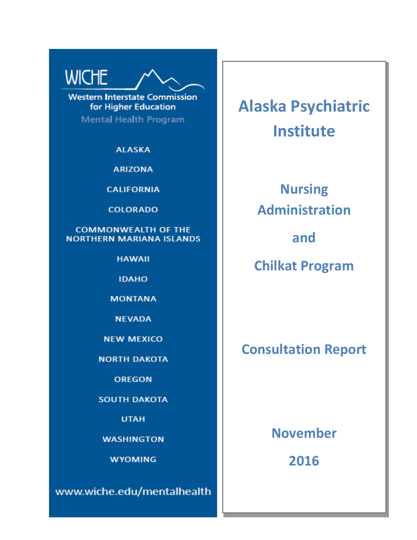# **WICHE**

**Western Interstate Commission** for Higher Education

**Mental Health Program** 

**ALASKA** 

**ARIZONA** 

**CALIFORNIA** 

**COLORADO** 

**COMMONWEALTH OF THE NORTHERN MARIANA ISLANDS** 

**HAWAII** 

**IDAHO** 

**MONTANA** 

**NEVADA** 

**NEW MEXICO** 

**NORTH DAKOTA** 

**OREGON** 

**SOUTH DAKOTA** 

**UTAH** 

**WASHINGTON** 

**WYOMING** 

www.wiche.edu/mentalhealth

**Alaska Psychiatric Institute**

> **Nursing Administration**

> > **and**

**Chilkat Program**

# **Consultation Report**

**November**

**2016**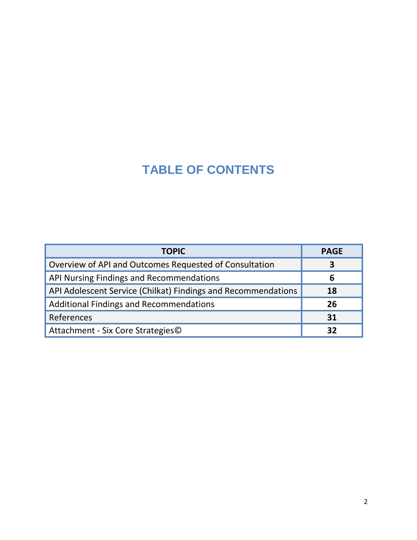# **TABLE OF CONTENTS**

| <b>TOPIC</b>                                                  | <b>PAGE</b> |
|---------------------------------------------------------------|-------------|
| Overview of API and Outcomes Requested of Consultation        | 3           |
| API Nursing Findings and Recommendations                      | 6           |
| API Adolescent Service (Chilkat) Findings and Recommendations | 18          |
| <b>Additional Findings and Recommendations</b>                | 26          |
| References                                                    | 31          |
| Attachment - Six Core Strategies©                             | 37          |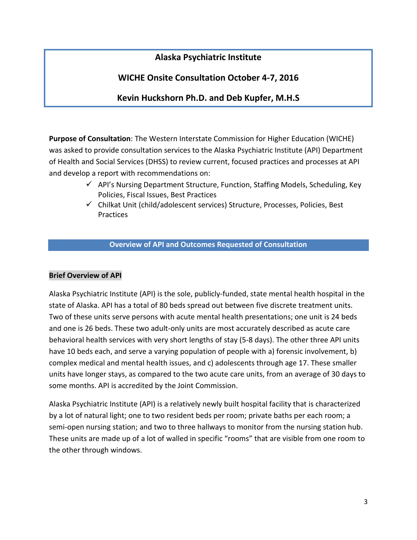# **Alaska Psychiatric Institute**

# **WICHE Onsite Consultation October 4-7, 2016**

# **Kevin Huckshorn Ph.D. and Deb Kupfer, M.H.S**

**Purpose of Consultation**: The Western Interstate Commission for Higher Education (WICHE) was asked to provide consultation services to the Alaska Psychiatric Institute (API) Department of Health and Social Services (DHSS) to review current, focused practices and processes at API and develop a report with recommendations on:

- $\checkmark$  API's Nursing Department Structure, Function, Staffing Models, Scheduling, Key Policies, Fiscal Issues, Best Practices
- $\checkmark$  Chilkat Unit (child/adolescent services) Structure, Processes, Policies, Best Practices

#### **Overview of API and Outcomes Requested of Consultation**

#### **Brief Overview of API**

Alaska Psychiatric Institute (API) is the sole, publicly-funded, state mental health hospital in the state of Alaska. API has a total of 80 beds spread out between five discrete treatment units. Two of these units serve persons with acute mental health presentations; one unit is 24 beds and one is 26 beds. These two adult-only units are most accurately described as acute care behavioral health services with very short lengths of stay (5-8 days). The other three API units have 10 beds each, and serve a varying population of people with a) forensic involvement, b) complex medical and mental health issues, and c) adolescents through age 17. These smaller units have longer stays, as compared to the two acute care units, from an average of 30 days to some months. API is accredited by the Joint Commission.

Alaska Psychiatric Institute (API) is a relatively newly built hospital facility that is characterized by a lot of natural light; one to two resident beds per room; private baths per each room; a semi-open nursing station; and two to three hallways to monitor from the nursing station hub. These units are made up of a lot of walled in specific "rooms" that are visible from one room to the other through windows.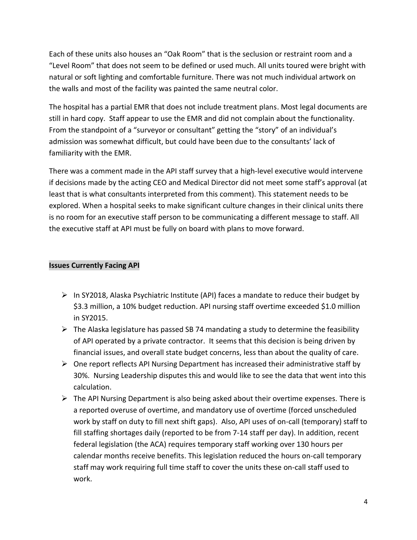Each of these units also houses an "Oak Room" that is the seclusion or restraint room and a "Level Room" that does not seem to be defined or used much. All units toured were bright with natural or soft lighting and comfortable furniture. There was not much individual artwork on the walls and most of the facility was painted the same neutral color.

The hospital has a partial EMR that does not include treatment plans. Most legal documents are still in hard copy. Staff appear to use the EMR and did not complain about the functionality. From the standpoint of a "surveyor or consultant" getting the "story" of an individual's admission was somewhat difficult, but could have been due to the consultants' lack of familiarity with the EMR.

There was a comment made in the API staff survey that a high-level executive would intervene if decisions made by the acting CEO and Medical Director did not meet some staff's approval (at least that is what consultants interpreted from this comment). This statement needs to be explored. When a hospital seeks to make significant culture changes in their clinical units there is no room for an executive staff person to be communicating a different message to staff. All the executive staff at API must be fully on board with plans to move forward.

# **Issues Currently Facing API**

- $\triangleright$  In SY2018, Alaska Psychiatric Institute (API) faces a mandate to reduce their budget by \$3.3 million, a 10% budget reduction. API nursing staff overtime exceeded \$1.0 million in SY2015.
- $\triangleright$  The Alaska legislature has passed SB 74 mandating a study to determine the feasibility of API operated by a private contractor. It seems that this decision is being driven by financial issues, and overall state budget concerns, less than about the quality of care.
- $\triangleright$  One report reflects API Nursing Department has increased their administrative staff by 30%. Nursing Leadership disputes this and would like to see the data that went into this calculation.
- $\triangleright$  The API Nursing Department is also being asked about their overtime expenses. There is a reported overuse of overtime, and mandatory use of overtime (forced unscheduled work by staff on duty to fill next shift gaps). Also, API uses of on-call (temporary) staff to fill staffing shortages daily (reported to be from 7-14 staff per day). In addition, recent federal legislation (the ACA) requires temporary staff working over 130 hours per calendar months receive benefits. This legislation reduced the hours on-call temporary staff may work requiring full time staff to cover the units these on-call staff used to work.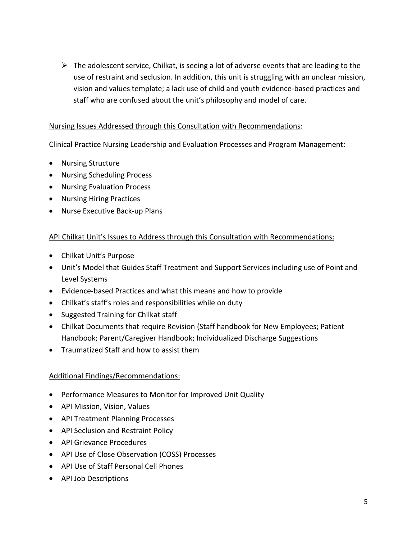$\triangleright$  The adolescent service, Chilkat, is seeing a lot of adverse events that are leading to the use of restraint and seclusion. In addition, this unit is struggling with an unclear mission, vision and values template; a lack use of child and youth evidence-based practices and staff who are confused about the unit's philosophy and model of care.

# Nursing Issues Addressed through this Consultation with Recommendations:

Clinical Practice Nursing Leadership and Evaluation Processes and Program Management:

- Nursing Structure
- Nursing Scheduling Process
- Nursing Evaluation Process
- Nursing Hiring Practices
- Nurse Executive Back-up Plans

# API Chilkat Unit's Issues to Address through this Consultation with Recommendations:

- Chilkat Unit's Purpose
- Unit's Model that Guides Staff Treatment and Support Services including use of Point and Level Systems
- Evidence-based Practices and what this means and how to provide
- Chilkat's staff's roles and responsibilities while on duty
- Suggested Training for Chilkat staff
- Chilkat Documents that require Revision (Staff handbook for New Employees; Patient Handbook; Parent/Caregiver Handbook; Individualized Discharge Suggestions
- Traumatized Staff and how to assist them

# Additional Findings/Recommendations:

- Performance Measures to Monitor for Improved Unit Quality
- API Mission, Vision, Values
- API Treatment Planning Processes
- API Seclusion and Restraint Policy
- API Grievance Procedures
- API Use of Close Observation (COSS) Processes
- API Use of Staff Personal Cell Phones
- API Job Descriptions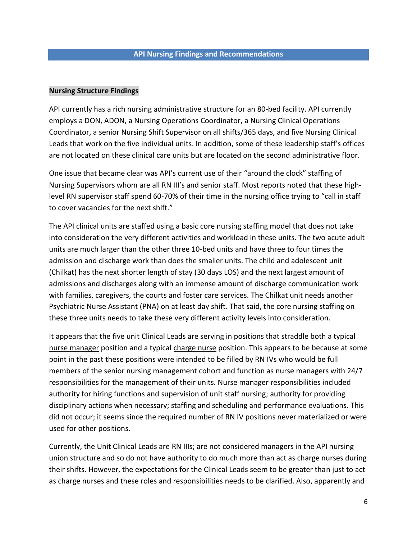#### **Nursing Structure Findings**

API currently has a rich nursing administrative structure for an 80-bed facility. API currently employs a DON, ADON, a Nursing Operations Coordinator, a Nursing Clinical Operations Coordinator, a senior Nursing Shift Supervisor on all shifts/365 days, and five Nursing Clinical Leads that work on the five individual units. In addition, some of these leadership staff's offices are not located on these clinical care units but are located on the second administrative floor.

One issue that became clear was API's current use of their "around the clock" staffing of Nursing Supervisors whom are all RN III's and senior staff. Most reports noted that these highlevel RN supervisor staff spend 60-70% of their time in the nursing office trying to "call in staff to cover vacancies for the next shift."

The API clinical units are staffed using a basic core nursing staffing model that does not take into consideration the very different activities and workload in these units. The two acute adult units are much larger than the other three 10-bed units and have three to four times the admission and discharge work than does the smaller units. The child and adolescent unit (Chilkat) has the next shorter length of stay (30 days LOS) and the next largest amount of admissions and discharges along with an immense amount of discharge communication work with families, caregivers, the courts and foster care services. The Chilkat unit needs another Psychiatric Nurse Assistant (PNA) on at least day shift. That said, the core nursing staffing on these three units needs to take these very different activity levels into consideration.

It appears that the five unit Clinical Leads are serving in positions that straddle both a typical nurse manager position and a typical charge nurse position. This appears to be because at some point in the past these positions were intended to be filled by RN IVs who would be full members of the senior nursing management cohort and function as nurse managers with 24/7 responsibilities for the management of their units. Nurse manager responsibilities included authority for hiring functions and supervision of unit staff nursing; authority for providing disciplinary actions when necessary; staffing and scheduling and performance evaluations. This did not occur; it seems since the required number of RN IV positions never materialized or were used for other positions.

Currently, the Unit Clinical Leads are RN IIIs; are not considered managers in the API nursing union structure and so do not have authority to do much more than act as charge nurses during their shifts. However, the expectations for the Clinical Leads seem to be greater than just to act as charge nurses and these roles and responsibilities needs to be clarified. Also, apparently and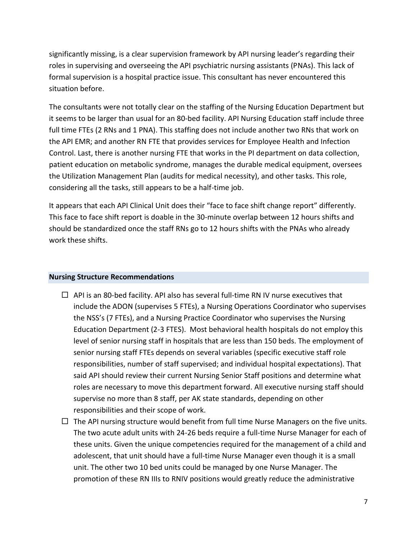significantly missing, is a clear supervision framework by API nursing leader's regarding their roles in supervising and overseeing the API psychiatric nursing assistants (PNAs). This lack of formal supervision is a hospital practice issue. This consultant has never encountered this situation before.

The consultants were not totally clear on the staffing of the Nursing Education Department but it seems to be larger than usual for an 80-bed facility. API Nursing Education staff include three full time FTEs (2 RNs and 1 PNA). This staffing does not include another two RNs that work on the API EMR; and another RN FTE that provides services for Employee Health and Infection Control. Last, there is another nursing FTE that works in the PI department on data collection, patient education on metabolic syndrome, manages the durable medical equipment, oversees the Utilization Management Plan (audits for medical necessity), and other tasks. This role, considering all the tasks, still appears to be a half-time job.

It appears that each API Clinical Unit does their "face to face shift change report" differently. This face to face shift report is doable in the 30-minute overlap between 12 hours shifts and should be standardized once the staff RNs go to 12 hours shifts with the PNAs who already work these shifts.

#### **Nursing Structure Recommendations**

- $\Box$  API is an 80-bed facility. API also has several full-time RN IV nurse executives that include the ADON (supervises 5 FTEs), a Nursing Operations Coordinator who supervises the NSS's (7 FTEs), and a Nursing Practice Coordinator who supervises the Nursing Education Department (2-3 FTES). Most behavioral health hospitals do not employ this level of senior nursing staff in hospitals that are less than 150 beds. The employment of senior nursing staff FTEs depends on several variables (specific executive staff role responsibilities, number of staff supervised; and individual hospital expectations). That said API should review their current Nursing Senior Staff positions and determine what roles are necessary to move this department forward. All executive nursing staff should supervise no more than 8 staff, per AK state standards, depending on other responsibilities and their scope of work.
- $\Box$  The API nursing structure would benefit from full time Nurse Managers on the five units. The two acute adult units with 24-26 beds require a full-time Nurse Manager for each of these units. Given the unique competencies required for the management of a child and adolescent, that unit should have a full-time Nurse Manager even though it is a small unit. The other two 10 bed units could be managed by one Nurse Manager. The promotion of these RN IIIs to RNIV positions would greatly reduce the administrative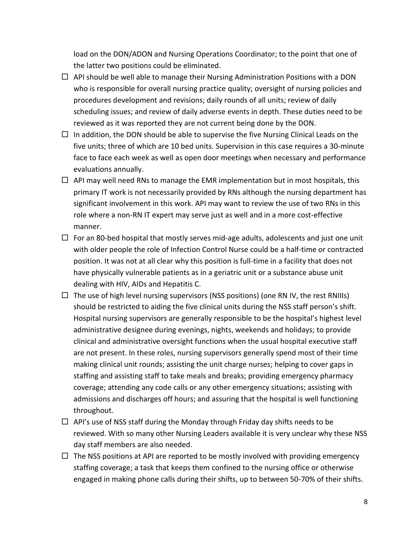load on the DON/ADON and Nursing Operations Coordinator; to the point that one of the latter two positions could be eliminated.

- $\Box$  API should be well able to manage their Nursing Administration Positions with a DON who is responsible for overall nursing practice quality; oversight of nursing policies and procedures development and revisions; daily rounds of all units; review of daily scheduling issues; and review of daily adverse events in depth. These duties need to be reviewed as it was reported they are not current being done by the DON.
- $\Box$  In addition, the DON should be able to supervise the five Nursing Clinical Leads on the five units; three of which are 10 bed units. Supervision in this case requires a 30-minute face to face each week as well as open door meetings when necessary and performance evaluations annually.
- $\Box$  API may well need RNs to manage the EMR implementation but in most hospitals, this primary IT work is not necessarily provided by RNs although the nursing department has significant involvement in this work. API may want to review the use of two RNs in this role where a non-RN IT expert may serve just as well and in a more cost-effective manner.
- $\Box$  For an 80-bed hospital that mostly serves mid-age adults, adolescents and just one unit with older people the role of Infection Control Nurse could be a half-time or contracted position. It was not at all clear why this position is full-time in a facility that does not have physically vulnerable patients as in a geriatric unit or a substance abuse unit dealing with HIV, AIDs and Hepatitis C.
- $\Box$  The use of high level nursing supervisors (NSS positions) (one RN IV, the rest RNIIIs) should be restricted to aiding the five clinical units during the NSS staff person's shift. Hospital nursing supervisors are generally responsible to be the hospital's highest level administrative designee during evenings, nights, weekends and holidays; to provide clinical and administrative oversight functions when the usual hospital executive staff are not present. In these roles, nursing supervisors generally spend most of their time making clinical unit rounds; assisting the unit charge nurses; helping to cover gaps in staffing and assisting staff to take meals and breaks; providing emergency pharmacy coverage; attending any code calls or any other emergency situations; assisting with admissions and discharges off hours; and assuring that the hospital is well functioning throughout.
- $\Box$  API's use of NSS staff during the Monday through Friday day shifts needs to be reviewed. With so many other Nursing Leaders available it is very unclear why these NSS day staff members are also needed.
- $\Box$  The NSS positions at API are reported to be mostly involved with providing emergency staffing coverage; a task that keeps them confined to the nursing office or otherwise engaged in making phone calls during their shifts, up to between 50-70% of their shifts.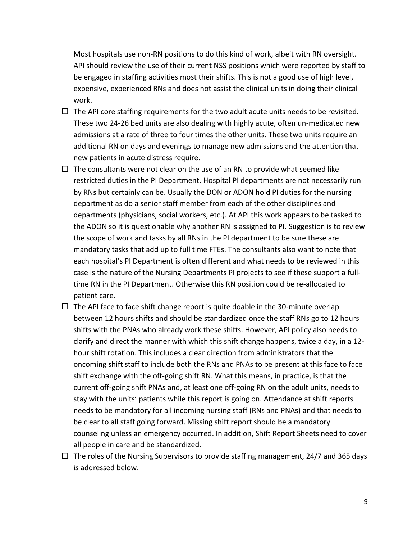Most hospitals use non-RN positions to do this kind of work, albeit with RN oversight. API should review the use of their current NSS positions which were reported by staff to be engaged in staffing activities most their shifts. This is not a good use of high level, expensive, experienced RNs and does not assist the clinical units in doing their clinical work.

- $\Box$  The API core staffing requirements for the two adult acute units needs to be revisited. These two 24-26 bed units are also dealing with highly acute, often un-medicated new admissions at a rate of three to four times the other units. These two units require an additional RN on days and evenings to manage new admissions and the attention that new patients in acute distress require.
- $\Box$  The consultants were not clear on the use of an RN to provide what seemed like restricted duties in the PI Department. Hospital PI departments are not necessarily run by RNs but certainly can be. Usually the DON or ADON hold PI duties for the nursing department as do a senior staff member from each of the other disciplines and departments (physicians, social workers, etc.). At API this work appears to be tasked to the ADON so it is questionable why another RN is assigned to PI. Suggestion is to review the scope of work and tasks by all RNs in the PI department to be sure these are mandatory tasks that add up to full time FTEs. The consultants also want to note that each hospital's PI Department is often different and what needs to be reviewed in this case is the nature of the Nursing Departments PI projects to see if these support a fulltime RN in the PI Department. Otherwise this RN position could be re-allocated to patient care.
- $\Box$  The API face to face shift change report is quite doable in the 30-minute overlap between 12 hours shifts and should be standardized once the staff RNs go to 12 hours shifts with the PNAs who already work these shifts. However, API policy also needs to clarify and direct the manner with which this shift change happens, twice a day, in a 12 hour shift rotation. This includes a clear direction from administrators that the oncoming shift staff to include both the RNs and PNAs to be present at this face to face shift exchange with the off-going shift RN. What this means, in practice, is that the current off-going shift PNAs and, at least one off-going RN on the adult units, needs to stay with the units' patients while this report is going on. Attendance at shift reports needs to be mandatory for all incoming nursing staff (RNs and PNAs) and that needs to be clear to all staff going forward. Missing shift report should be a mandatory counseling unless an emergency occurred. In addition, Shift Report Sheets need to cover all people in care and be standardized.
- $\Box$  The roles of the Nursing Supervisors to provide staffing management, 24/7 and 365 days is addressed below.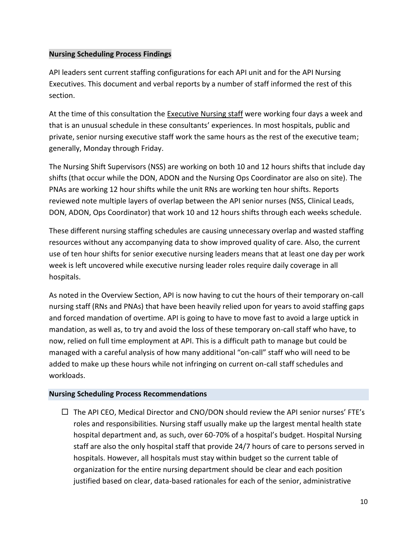# **Nursing Scheduling Process Findings**

API leaders sent current staffing configurations for each API unit and for the API Nursing Executives. This document and verbal reports by a number of staff informed the rest of this section.

At the time of this consultation the Executive Nursing staff were working four days a week and that is an unusual schedule in these consultants' experiences. In most hospitals, public and private, senior nursing executive staff work the same hours as the rest of the executive team; generally, Monday through Friday.

The Nursing Shift Supervisors (NSS) are working on both 10 and 12 hours shifts that include day shifts (that occur while the DON, ADON and the Nursing Ops Coordinator are also on site). The PNAs are working 12 hour shifts while the unit RNs are working ten hour shifts. Reports reviewed note multiple layers of overlap between the API senior nurses (NSS, Clinical Leads, DON, ADON, Ops Coordinator) that work 10 and 12 hours shifts through each weeks schedule.

These different nursing staffing schedules are causing unnecessary overlap and wasted staffing resources without any accompanying data to show improved quality of care. Also, the current use of ten hour shifts for senior executive nursing leaders means that at least one day per work week is left uncovered while executive nursing leader roles require daily coverage in all hospitals.

As noted in the Overview Section, API is now having to cut the hours of their temporary on-call nursing staff (RNs and PNAs) that have been heavily relied upon for years to avoid staffing gaps and forced mandation of overtime. API is going to have to move fast to avoid a large uptick in mandation, as well as, to try and avoid the loss of these temporary on-call staff who have, to now, relied on full time employment at API. This is a difficult path to manage but could be managed with a careful analysis of how many additional "on-call" staff who will need to be added to make up these hours while not infringing on current on-call staff schedules and workloads.

#### **Nursing Scheduling Process Recommendations**

 $\Box$  The API CEO, Medical Director and CNO/DON should review the API senior nurses' FTE's roles and responsibilities. Nursing staff usually make up the largest mental health state hospital department and, as such, over 60-70% of a hospital's budget. Hospital Nursing staff are also the only hospital staff that provide 24/7 hours of care to persons served in hospitals. However, all hospitals must stay within budget so the current table of organization for the entire nursing department should be clear and each position justified based on clear, data-based rationales for each of the senior, administrative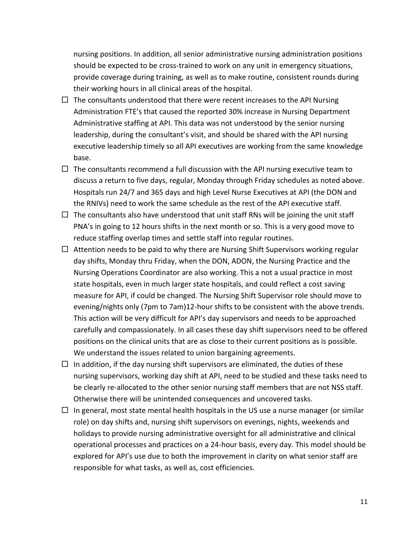nursing positions. In addition, all senior administrative nursing administration positions should be expected to be cross-trained to work on any unit in emergency situations, provide coverage during training, as well as to make routine, consistent rounds during their working hours in all clinical areas of the hospital.

- $\Box$  The consultants understood that there were recent increases to the API Nursing Administration FTE's that caused the reported 30% increase in Nursing Department Administrative staffing at API. This data was not understood by the senior nursing leadership, during the consultant's visit, and should be shared with the API nursing executive leadership timely so all API executives are working from the same knowledge base.
- $\Box$  The consultants recommend a full discussion with the API nursing executive team to discuss a return to five days, regular, Monday through Friday schedules as noted above. Hospitals run 24/7 and 365 days and high Level Nurse Executives at API (the DON and the RNIVs) need to work the same schedule as the rest of the API executive staff.
- $\Box$  The consultants also have understood that unit staff RNs will be joining the unit staff PNA's in going to 12 hours shifts in the next month or so. This is a very good move to reduce staffing overlap times and settle staff into regular routines.
- $\Box$  Attention needs to be paid to why there are Nursing Shift Supervisors working regular day shifts, Monday thru Friday, when the DON, ADON, the Nursing Practice and the Nursing Operations Coordinator are also working. This a not a usual practice in most state hospitals, even in much larger state hospitals, and could reflect a cost saving measure for API, if could be changed. The Nursing Shift Supervisor role should move to evening/nights only (7pm to 7am)12-hour shifts to be consistent with the above trends. This action will be very difficult for API's day supervisors and needs to be approached carefully and compassionately. In all cases these day shift supervisors need to be offered positions on the clinical units that are as close to their current positions as is possible. We understand the issues related to union bargaining agreements.
- $\Box$  In addition, if the day nursing shift supervisors are eliminated, the duties of these nursing supervisors, working day shift at API, need to be studied and these tasks need to be clearly re-allocated to the other senior nursing staff members that are not NSS staff. Otherwise there will be unintended consequences and uncovered tasks.
- $\Box$  In general, most state mental health hospitals in the US use a nurse manager (or similar role) on day shifts and, nursing shift supervisors on evenings, nights, weekends and holidays to provide nursing administrative oversight for all administrative and clinical operational processes and practices on a 24-hour basis, every day. This model should be explored for API's use due to both the improvement in clarity on what senior staff are responsible for what tasks, as well as, cost efficiencies.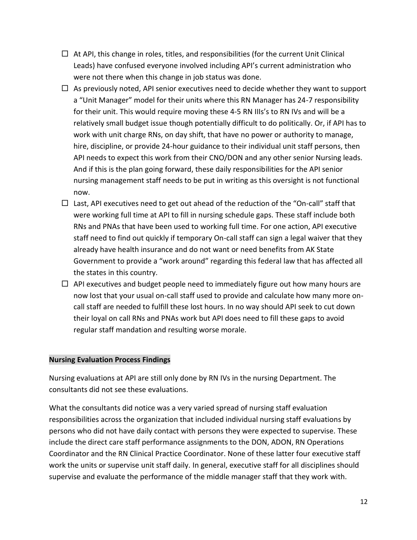- $\Box$  At API, this change in roles, titles, and responsibilities (for the current Unit Clinical Leads) have confused everyone involved including API's current administration who were not there when this change in job status was done.
- $\Box$  As previously noted, API senior executives need to decide whether they want to support a "Unit Manager" model for their units where this RN Manager has 24-7 responsibility for their unit. This would require moving these 4-5 RN IIIs's to RN IVs and will be a relatively small budget issue though potentially difficult to do politically. Or, if API has to work with unit charge RNs, on day shift, that have no power or authority to manage, hire, discipline, or provide 24-hour guidance to their individual unit staff persons, then API needs to expect this work from their CNO/DON and any other senior Nursing leads. And if this is the plan going forward, these daily responsibilities for the API senior nursing management staff needs to be put in writing as this oversight is not functional now.
- $\Box$  Last, API executives need to get out ahead of the reduction of the "On-call" staff that were working full time at API to fill in nursing schedule gaps. These staff include both RNs and PNAs that have been used to working full time. For one action, API executive staff need to find out quickly if temporary On-call staff can sign a legal waiver that they already have health insurance and do not want or need benefits from AK State Government to provide a "work around" regarding this federal law that has affected all the states in this country.
- $\Box$  API executives and budget people need to immediately figure out how many hours are now lost that your usual on-call staff used to provide and calculate how many more oncall staff are needed to fulfill these lost hours. In no way should API seek to cut down their loyal on call RNs and PNAs work but API does need to fill these gaps to avoid regular staff mandation and resulting worse morale.

#### **Nursing Evaluation Process Findings**

Nursing evaluations at API are still only done by RN IVs in the nursing Department. The consultants did not see these evaluations.

What the consultants did notice was a very varied spread of nursing staff evaluation responsibilities across the organization that included individual nursing staff evaluations by persons who did not have daily contact with persons they were expected to supervise. These include the direct care staff performance assignments to the DON, ADON, RN Operations Coordinator and the RN Clinical Practice Coordinator. None of these latter four executive staff work the units or supervise unit staff daily. In general, executive staff for all disciplines should supervise and evaluate the performance of the middle manager staff that they work with.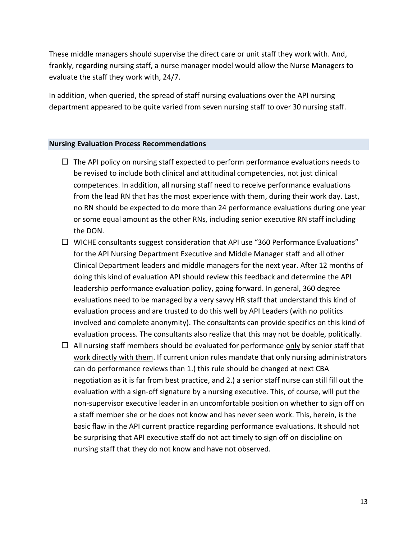These middle managers should supervise the direct care or unit staff they work with. And, frankly, regarding nursing staff, a nurse manager model would allow the Nurse Managers to evaluate the staff they work with, 24/7.

In addition, when queried, the spread of staff nursing evaluations over the API nursing department appeared to be quite varied from seven nursing staff to over 30 nursing staff.

#### **Nursing Evaluation Process Recommendations**

- $\Box$  The API policy on nursing staff expected to perform performance evaluations needs to be revised to include both clinical and attitudinal competencies, not just clinical competences. In addition, all nursing staff need to receive performance evaluations from the lead RN that has the most experience with them, during their work day. Last, no RN should be expected to do more than 24 performance evaluations during one year or some equal amount as the other RNs, including senior executive RN staff including the DON.
- $\Box$  WICHE consultants suggest consideration that API use "360 Performance Evaluations" for the API Nursing Department Executive and Middle Manager staff and all other Clinical Department leaders and middle managers for the next year. After 12 months of doing this kind of evaluation API should review this feedback and determine the API leadership performance evaluation policy, going forward. In general, 360 degree evaluations need to be managed by a very savvy HR staff that understand this kind of evaluation process and are trusted to do this well by API Leaders (with no politics involved and complete anonymity). The consultants can provide specifics on this kind of evaluation process. The consultants also realize that this may not be doable, politically.
- $\Box$  All nursing staff members should be evaluated for performance only by senior staff that work directly with them. If current union rules mandate that only nursing administrators can do performance reviews than 1.) this rule should be changed at next CBA negotiation as it is far from best practice, and 2.) a senior staff nurse can still fill out the evaluation with a sign-off signature by a nursing executive. This, of course, will put the non-supervisor executive leader in an uncomfortable position on whether to sign off on a staff member she or he does not know and has never seen work. This, herein, is the basic flaw in the API current practice regarding performance evaluations. It should not be surprising that API executive staff do not act timely to sign off on discipline on nursing staff that they do not know and have not observed.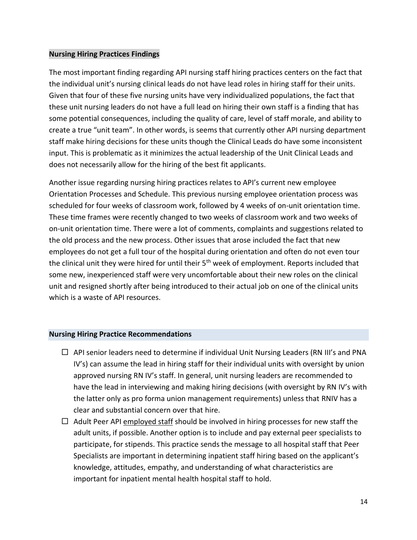#### **Nursing Hiring Practices Findings**

The most important finding regarding API nursing staff hiring practices centers on the fact that the individual unit's nursing clinical leads do not have lead roles in hiring staff for their units. Given that four of these five nursing units have very individualized populations, the fact that these unit nursing leaders do not have a full lead on hiring their own staff is a finding that has some potential consequences, including the quality of care, level of staff morale, and ability to create a true "unit team". In other words, is seems that currently other API nursing department staff make hiring decisions for these units though the Clinical Leads do have some inconsistent input. This is problematic as it minimizes the actual leadership of the Unit Clinical Leads and does not necessarily allow for the hiring of the best fit applicants.

Another issue regarding nursing hiring practices relates to API's current new employee Orientation Processes and Schedule. This previous nursing employee orientation process was scheduled for four weeks of classroom work, followed by 4 weeks of on-unit orientation time. These time frames were recently changed to two weeks of classroom work and two weeks of on-unit orientation time. There were a lot of comments, complaints and suggestions related to the old process and the new process. Other issues that arose included the fact that new employees do not get a full tour of the hospital during orientation and often do not even tour the clinical unit they were hired for until their 5<sup>th</sup> week of employment. Reports included that some new, inexperienced staff were very uncomfortable about their new roles on the clinical unit and resigned shortly after being introduced to their actual job on one of the clinical units which is a waste of API resources.

#### **Nursing Hiring Practice Recommendations**

- $\Box$  API senior leaders need to determine if individual Unit Nursing Leaders (RN III's and PNA IV's) can assume the lead in hiring staff for their individual units with oversight by union approved nursing RN IV's staff. In general, unit nursing leaders are recommended to have the lead in interviewing and making hiring decisions (with oversight by RN IV's with the latter only as pro forma union management requirements) unless that RNIV has a clear and substantial concern over that hire.
- $\Box$  Adult Peer API employed staff should be involved in hiring processes for new staff the adult units, if possible. Another option is to include and pay external peer specialists to participate, for stipends. This practice sends the message to all hospital staff that Peer Specialists are important in determining inpatient staff hiring based on the applicant's knowledge, attitudes, empathy, and understanding of what characteristics are important for inpatient mental health hospital staff to hold.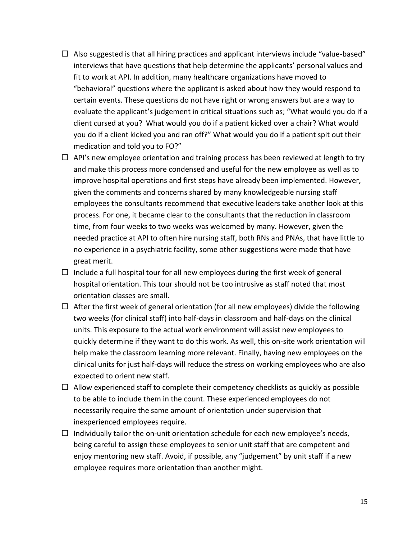- $\Box$  Also suggested is that all hiring practices and applicant interviews include "value-based" interviews that have questions that help determine the applicants' personal values and fit to work at API. In addition, many healthcare organizations have moved to "behavioral" questions where the applicant is asked about how they would respond to certain events. These questions do not have right or wrong answers but are a way to evaluate the applicant's judgement in critical situations such as; "What would you do if a client cursed at you? What would you do if a patient kicked over a chair? What would you do if a client kicked you and ran off?" What would you do if a patient spit out their medication and told you to FO?"
- $\Box$  API's new employee orientation and training process has been reviewed at length to try and make this process more condensed and useful for the new employee as well as to improve hospital operations and first steps have already been implemented. However, given the comments and concerns shared by many knowledgeable nursing staff employees the consultants recommend that executive leaders take another look at this process. For one, it became clear to the consultants that the reduction in classroom time, from four weeks to two weeks was welcomed by many. However, given the needed practice at API to often hire nursing staff, both RNs and PNAs, that have little to no experience in a psychiatric facility, some other suggestions were made that have great merit.
- $\Box$  Include a full hospital tour for all new employees during the first week of general hospital orientation. This tour should not be too intrusive as staff noted that most orientation classes are small.
- $\Box$  After the first week of general orientation (for all new employees) divide the following two weeks (for clinical staff) into half-days in classroom and half-days on the clinical units. This exposure to the actual work environment will assist new employees to quickly determine if they want to do this work. As well, this on-site work orientation will help make the classroom learning more relevant. Finally, having new employees on the clinical units for just half-days will reduce the stress on working employees who are also expected to orient new staff.
- $\Box$  Allow experienced staff to complete their competency checklists as quickly as possible to be able to include them in the count. These experienced employees do not necessarily require the same amount of orientation under supervision that inexperienced employees require.
- $\Box$  Individually tailor the on-unit orientation schedule for each new employee's needs, being careful to assign these employees to senior unit staff that are competent and enjoy mentoring new staff. Avoid, if possible, any "judgement" by unit staff if a new employee requires more orientation than another might.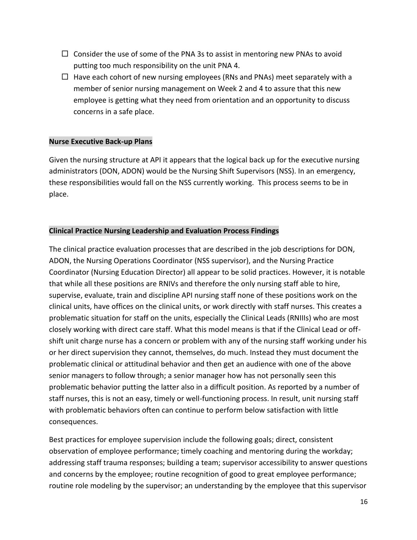- $\Box$  Consider the use of some of the PNA 3s to assist in mentoring new PNAs to avoid putting too much responsibility on the unit PNA 4.
- $\Box$  Have each cohort of new nursing employees (RNs and PNAs) meet separately with a member of senior nursing management on Week 2 and 4 to assure that this new employee is getting what they need from orientation and an opportunity to discuss concerns in a safe place.

#### **Nurse Executive Back-up Plans**

Given the nursing structure at API it appears that the logical back up for the executive nursing administrators (DON, ADON) would be the Nursing Shift Supervisors (NSS). In an emergency, these responsibilities would fall on the NSS currently working. This process seems to be in place.

# **Clinical Practice Nursing Leadership and Evaluation Process Findings**

The clinical practice evaluation processes that are described in the job descriptions for DON, ADON, the Nursing Operations Coordinator (NSS supervisor), and the Nursing Practice Coordinator (Nursing Education Director) all appear to be solid practices. However, it is notable that while all these positions are RNIVs and therefore the only nursing staff able to hire, supervise, evaluate, train and discipline API nursing staff none of these positions work on the clinical units, have offices on the clinical units, or work directly with staff nurses. This creates a problematic situation for staff on the units, especially the Clinical Leads (RNIIIs) who are most closely working with direct care staff. What this model means is that if the Clinical Lead or offshift unit charge nurse has a concern or problem with any of the nursing staff working under his or her direct supervision they cannot, themselves, do much. Instead they must document the problematic clinical or attitudinal behavior and then get an audience with one of the above senior managers to follow through; a senior manager how has not personally seen this problematic behavior putting the latter also in a difficult position. As reported by a number of staff nurses, this is not an easy, timely or well-functioning process. In result, unit nursing staff with problematic behaviors often can continue to perform below satisfaction with little consequences.

Best practices for employee supervision include the following goals; direct, consistent observation of employee performance; timely coaching and mentoring during the workday; addressing staff trauma responses; building a team; supervisor accessibility to answer questions and concerns by the employee; routine recognition of good to great employee performance; routine role modeling by the supervisor; an understanding by the employee that this supervisor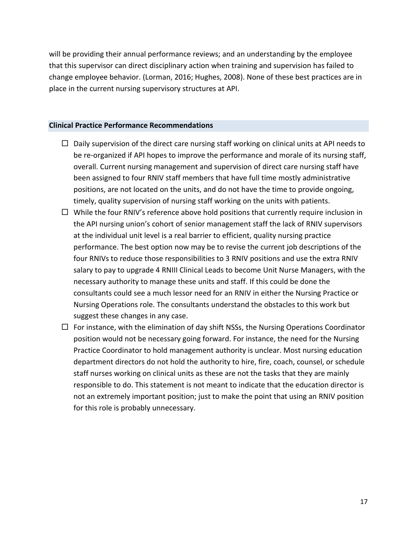will be providing their annual performance reviews; and an understanding by the employee that this supervisor can direct disciplinary action when training and supervision has failed to change employee behavior. (Lorman, 2016; Hughes, 2008). None of these best practices are in place in the current nursing supervisory structures at API.

#### **Clinical Practice Performance Recommendations**

- $\Box$  Daily supervision of the direct care nursing staff working on clinical units at API needs to be re-organized if API hopes to improve the performance and morale of its nursing staff, overall. Current nursing management and supervision of direct care nursing staff have been assigned to four RNIV staff members that have full time mostly administrative positions, are not located on the units, and do not have the time to provide ongoing, timely, quality supervision of nursing staff working on the units with patients.
- $\Box$  While the four RNIV's reference above hold positions that currently require inclusion in the API nursing union's cohort of senior management staff the lack of RNIV supervisors at the individual unit level is a real barrier to efficient, quality nursing practice performance. The best option now may be to revise the current job descriptions of the four RNIVs to reduce those responsibilities to 3 RNIV positions and use the extra RNIV salary to pay to upgrade 4 RNIII Clinical Leads to become Unit Nurse Managers, with the necessary authority to manage these units and staff. If this could be done the consultants could see a much lessor need for an RNIV in either the Nursing Practice or Nursing Operations role. The consultants understand the obstacles to this work but suggest these changes in any case.
- $\Box$  For instance, with the elimination of day shift NSSs, the Nursing Operations Coordinator position would not be necessary going forward. For instance, the need for the Nursing Practice Coordinator to hold management authority is unclear. Most nursing education department directors do not hold the authority to hire, fire, coach, counsel, or schedule staff nurses working on clinical units as these are not the tasks that they are mainly responsible to do. This statement is not meant to indicate that the education director is not an extremely important position; just to make the point that using an RNIV position for this role is probably unnecessary.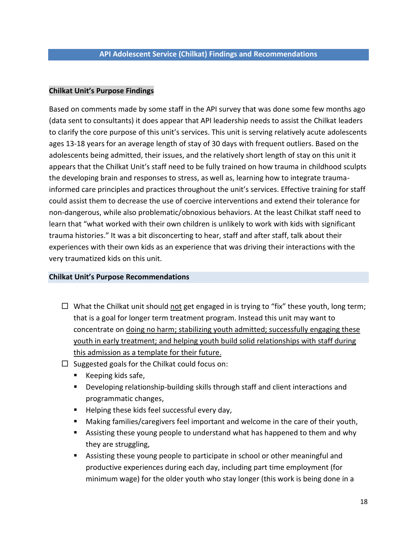#### **Chilkat Unit's Purpose Findings**

Based on comments made by some staff in the API survey that was done some few months ago (data sent to consultants) it does appear that API leadership needs to assist the Chilkat leaders to clarify the core purpose of this unit's services. This unit is serving relatively acute adolescents ages 13-18 years for an average length of stay of 30 days with frequent outliers. Based on the adolescents being admitted, their issues, and the relatively short length of stay on this unit it appears that the Chilkat Unit's staff need to be fully trained on how trauma in childhood sculpts the developing brain and responses to stress, as well as, learning how to integrate traumainformed care principles and practices throughout the unit's services. Effective training for staff could assist them to decrease the use of coercive interventions and extend their tolerance for non-dangerous, while also problematic/obnoxious behaviors. At the least Chilkat staff need to learn that "what worked with their own children is unlikely to work with kids with significant trauma histories." It was a bit disconcerting to hear, staff and after staff, talk about their experiences with their own kids as an experience that was driving their interactions with the very traumatized kids on this unit.

#### **Chilkat Unit's Purpose Recommendations**

- $\Box$  What the Chilkat unit should not get engaged in is trying to "fix" these youth, long term; that is a goal for longer term treatment program. Instead this unit may want to concentrate on doing no harm; stabilizing youth admitted; successfully engaging these youth in early treatment; and helping youth build solid relationships with staff during this admission as a template for their future.
- $\square$  Suggested goals for the Chilkat could focus on:
	- Keeping kids safe,
	- **Developing relationship-building skills through staff and client interactions and** programmatic changes,
	- **Helping these kids feel successful every day,**
	- Making families/caregivers feel important and welcome in the care of their youth,
	- Assisting these young people to understand what has happened to them and why they are struggling,
	- Assisting these young people to participate in school or other meaningful and productive experiences during each day, including part time employment (for minimum wage) for the older youth who stay longer (this work is being done in a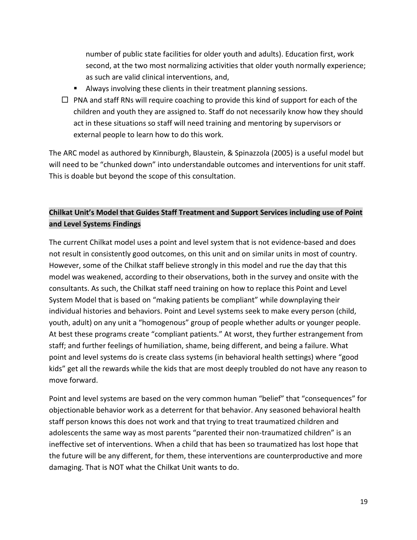number of public state facilities for older youth and adults). Education first, work second, at the two most normalizing activities that older youth normally experience; as such are valid clinical interventions, and,

- Always involving these clients in their treatment planning sessions.
- $\Box$  PNA and staff RNs will require coaching to provide this kind of support for each of the children and youth they are assigned to. Staff do not necessarily know how they should act in these situations so staff will need training and mentoring by supervisors or external people to learn how to do this work.

The ARC model as authored by Kinniburgh, Blaustein, & Spinazzola (2005) is a useful model but will need to be "chunked down" into understandable outcomes and interventions for unit staff. This is doable but beyond the scope of this consultation.

# **Chilkat Unit's Model that Guides Staff Treatment and Support Services including use of Point and Level Systems Findings**

The current Chilkat model uses a point and level system that is not evidence-based and does not result in consistently good outcomes, on this unit and on similar units in most of country. However, some of the Chilkat staff believe strongly in this model and rue the day that this model was weakened, according to their observations, both in the survey and onsite with the consultants. As such, the Chilkat staff need training on how to replace this Point and Level System Model that is based on "making patients be compliant" while downplaying their individual histories and behaviors. Point and Level systems seek to make every person (child, youth, adult) on any unit a "homogenous" group of people whether adults or younger people. At best these programs create "compliant patients." At worst, they further estrangement from staff; and further feelings of humiliation, shame, being different, and being a failure. What point and level systems do is create class systems (in behavioral health settings) where "good kids" get all the rewards while the kids that are most deeply troubled do not have any reason to move forward.

Point and level systems are based on the very common human "belief" that "consequences" for objectionable behavior work as a deterrent for that behavior. Any seasoned behavioral health staff person knows this does not work and that trying to treat traumatized children and adolescents the same way as most parents "parented their non-traumatized children" is an ineffective set of interventions. When a child that has been so traumatized has lost hope that the future will be any different, for them, these interventions are counterproductive and more damaging. That is NOT what the Chilkat Unit wants to do.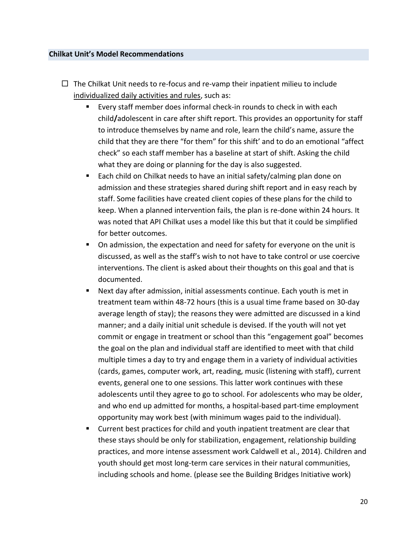#### **Chilkat Unit's Model Recommendations**

- $\Box$  The Chilkat Unit needs to re-focus and re-vamp their inpatient milieu to include individualized daily activities and rules, such as:
	- Every staff member does informal check-in rounds to check in with each child**/**adolescent in care after shift report. This provides an opportunity for staff to introduce themselves by name and role, learn the child's name, assure the child that they are there "for them" for this shift' and to do an emotional "affect check" so each staff member has a baseline at start of shift. Asking the child what they are doing or planning for the day is also suggested.
	- Each child on Chilkat needs to have an initial safety/calming plan done on admission and these strategies shared during shift report and in easy reach by staff. Some facilities have created client copies of these plans for the child to keep. When a planned intervention fails, the plan is re-done within 24 hours. It was noted that API Chilkat uses a model like this but that it could be simplified for better outcomes.
	- On admission, the expectation and need for safety for everyone on the unit is discussed, as well as the staff's wish to not have to take control or use coercive interventions. The client is asked about their thoughts on this goal and that is documented.
	- Next day after admission, initial assessments continue. Each youth is met in treatment team within 48-72 hours (this is a usual time frame based on 30-day average length of stay); the reasons they were admitted are discussed in a kind manner; and a daily initial unit schedule is devised. If the youth will not yet commit or engage in treatment or school than this "engagement goal" becomes the goal on the plan and individual staff are identified to meet with that child multiple times a day to try and engage them in a variety of individual activities (cards, games, computer work, art, reading, music (listening with staff), current events, general one to one sessions. This latter work continues with these adolescents until they agree to go to school. For adolescents who may be older, and who end up admitted for months, a hospital-based part-time employment opportunity may work best (with minimum wages paid to the individual).
	- **Current best practices for child and youth inpatient treatment are clear that** these stays should be only for stabilization, engagement, relationship building practices, and more intense assessment work Caldwell et al., 2014). Children and youth should get most long-term care services in their natural communities, including schools and home. (please see the Building Bridges Initiative work)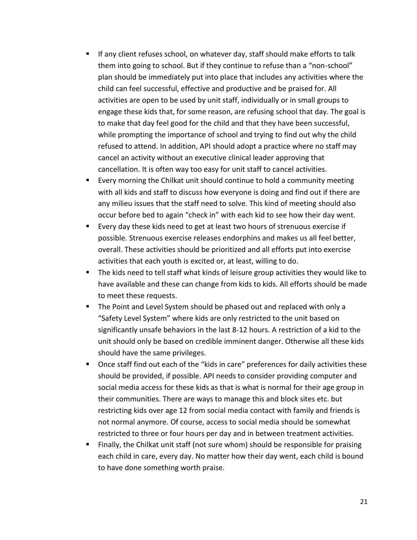- If any client refuses school, on whatever day, staff should make efforts to talk them into going to school. But if they continue to refuse than a "non-school" plan should be immediately put into place that includes any activities where the child can feel successful, effective and productive and be praised for. All activities are open to be used by unit staff, individually or in small groups to engage these kids that, for some reason, are refusing school that day. The goal is to make that day feel good for the child and that they have been successful, while prompting the importance of school and trying to find out why the child refused to attend. In addition, API should adopt a practice where no staff may cancel an activity without an executive clinical leader approving that cancellation. It is often way too easy for unit staff to cancel activities.
- Every morning the Chilkat unit should continue to hold a community meeting with all kids and staff to discuss how everyone is doing and find out if there are any milieu issues that the staff need to solve. This kind of meeting should also occur before bed to again "check in" with each kid to see how their day went.
- Every day these kids need to get at least two hours of strenuous exercise if possible. Strenuous exercise releases endorphins and makes us all feel better, overall. These activities should be prioritized and all efforts put into exercise activities that each youth is excited or, at least, willing to do.
- The kids need to tell staff what kinds of leisure group activities they would like to have available and these can change from kids to kids. All efforts should be made to meet these requests.
- The Point and Level System should be phased out and replaced with only a "Safety Level System" where kids are only restricted to the unit based on significantly unsafe behaviors in the last 8-12 hours. A restriction of a kid to the unit should only be based on credible imminent danger. Otherwise all these kids should have the same privileges.
- Once staff find out each of the "kids in care" preferences for daily activities these should be provided, if possible. API needs to consider providing computer and social media access for these kids as that is what is normal for their age group in their communities. There are ways to manage this and block sites etc. but restricting kids over age 12 from social media contact with family and friends is not normal anymore. Of course, access to social media should be somewhat restricted to three or four hours per day and in between treatment activities.
- Finally, the Chilkat unit staff (not sure whom) should be responsible for praising each child in care, every day. No matter how their day went, each child is bound to have done something worth praise.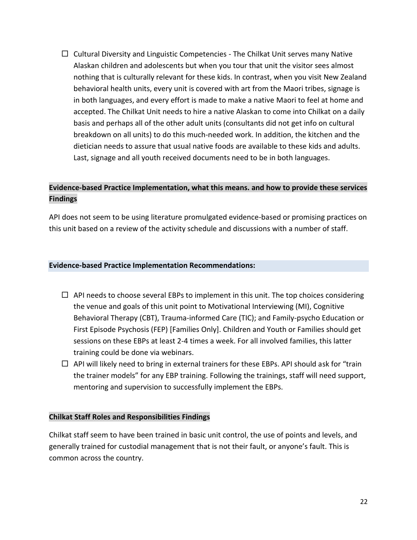$\Box$  Cultural Diversity and Linguistic Competencies - The Chilkat Unit serves many Native Alaskan children and adolescents but when you tour that unit the visitor sees almost nothing that is culturally relevant for these kids. In contrast, when you visit New Zealand behavioral health units, every unit is covered with art from the Maori tribes, signage is in both languages, and every effort is made to make a native Maori to feel at home and accepted. The Chilkat Unit needs to hire a native Alaskan to come into Chilkat on a daily basis and perhaps all of the other adult units (consultants did not get info on cultural breakdown on all units) to do this much-needed work. In addition, the kitchen and the dietician needs to assure that usual native foods are available to these kids and adults. Last, signage and all youth received documents need to be in both languages.

# **Evidence-based Practice Implementation, what this means. and how to provide these services Findings**

API does not seem to be using literature promulgated evidence-based or promising practices on this unit based on a review of the activity schedule and discussions with a number of staff.

#### **Evidence-based Practice Implementation Recommendations:**

- $\Box$  API needs to choose several EBPs to implement in this unit. The top choices considering the venue and goals of this unit point to Motivational Interviewing (MI), Cognitive Behavioral Therapy (CBT), Trauma-informed Care (TIC); and Family-psycho Education or First Episode Psychosis (FEP) [Families Only]. Children and Youth or Families should get sessions on these EBPs at least 2-4 times a week. For all involved families, this latter training could be done via webinars.
- $\Box$  API will likely need to bring in external trainers for these EBPs. API should ask for "train the trainer models" for any EBP training. Following the trainings, staff will need support, mentoring and supervision to successfully implement the EBPs.

# **Chilkat Staff Roles and Responsibilities Findings**

Chilkat staff seem to have been trained in basic unit control, the use of points and levels, and generally trained for custodial management that is not their fault, or anyone's fault. This is common across the country.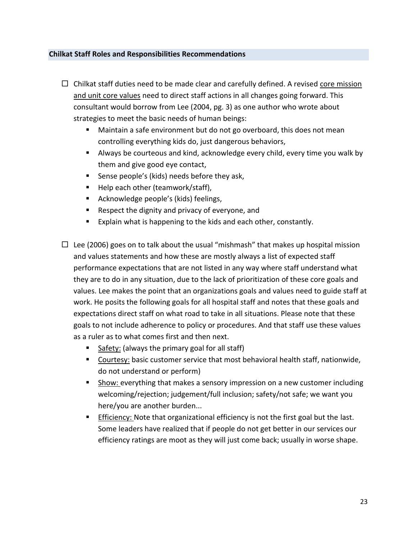#### **Chilkat Staff Roles and Responsibilities Recommendations**

- $\Box$  Chilkat staff duties need to be made clear and carefully defined. A revised core mission and unit core values need to direct staff actions in all changes going forward. This consultant would borrow from Lee (2004, pg. 3) as one author who wrote about strategies to meet the basic needs of human beings:
	- Maintain a safe environment but do not go overboard, this does not mean controlling everything kids do, just dangerous behaviors,
	- Always be courteous and kind, acknowledge every child, every time you walk by them and give good eye contact,
	- **Sense people's (kids) needs before they ask,**
	- Help each other (teamwork/staff),
	- **Acknowledge people's (kids) feelings,**
	- Respect the dignity and privacy of everyone, and
	- Explain what is happening to the kids and each other, constantly.
- $\Box$  Lee (2006) goes on to talk about the usual "mishmash" that makes up hospital mission and values statements and how these are mostly always a list of expected staff performance expectations that are not listed in any way where staff understand what they are to do in any situation, due to the lack of prioritization of these core goals and values. Lee makes the point that an organizations goals and values need to guide staff at work. He posits the following goals for all hospital staff and notes that these goals and expectations direct staff on what road to take in all situations. Please note that these goals to not include adherence to policy or procedures. And that staff use these values as a ruler as to what comes first and then next.
	- Safety: (always the primary goal for all staff)
	- Courtesy: basic customer service that most behavioral health staff, nationwide, do not understand or perform)
	- Show: everything that makes a sensory impression on a new customer including welcoming/rejection; judgement/full inclusion; safety/not safe; we want you here/you are another burden...
	- **Efficiency: Note that organizational efficiency is not the first goal but the last.** Some leaders have realized that if people do not get better in our services our efficiency ratings are moot as they will just come back; usually in worse shape.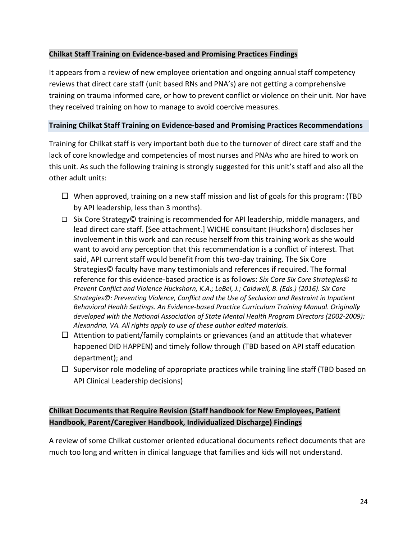# **Chilkat Staff Training on Evidence-based and Promising Practices Findings**

It appears from a review of new employee orientation and ongoing annual staff competency reviews that direct care staff (unit based RNs and PNA's) are not getting a comprehensive training on trauma informed care, or how to prevent conflict or violence on their unit. Nor have they received training on how to manage to avoid coercive measures.

#### **Training Chilkat Staff Training on Evidence-based and Promising Practices Recommendations**

Training for Chilkat staff is very important both due to the turnover of direct care staff and the lack of core knowledge and competencies of most nurses and PNAs who are hired to work on this unit. As such the following training is strongly suggested for this unit's staff and also all the other adult units:

- $\Box$  When approved, training on a new staff mission and list of goals for this program: (TBD by API leadership, less than 3 months).
- $□$  Six Core Strategy© training is recommended for API leadership, middle managers, and lead direct care staff. [See attachment.] WICHE consultant (Huckshorn) discloses her involvement in this work and can recuse herself from this training work as she would want to avoid any perception that this recommendation is a conflict of interest. That said, API current staff would benefit from this two-day training. The Six Core Strategies© faculty have many testimonials and references if required. The formal reference for this evidence-based practice is as follows: *Six Core Six Core Strategies© to Prevent Conflict and Violence Huckshorn, K.A.; LeBel, J.; Caldwell, B. (Eds.) (2016). Six Core Strategies©: Preventing Violence, Conflict and the Use of Seclusion and Restraint in Inpatient Behavioral Health Settings. An Evidence-based Practice Curriculum Training Manual. Originally developed with the National Association of State Mental Health Program Directors (2002-2009): Alexandria, VA. All rights apply to use of these author edited materials.*
- $\Box$  Attention to patient/family complaints or grievances (and an attitude that whatever happened DID HAPPEN) and timely follow through (TBD based on API staff education department); and
- $\Box$  Supervisor role modeling of appropriate practices while training line staff (TBD based on API Clinical Leadership decisions)

# **Chilkat Documents that Require Revision (Staff handbook for New Employees, Patient Handbook, Parent/Caregiver Handbook, Individualized Discharge) Findings**

A review of some Chilkat customer oriented educational documents reflect documents that are much too long and written in clinical language that families and kids will not understand.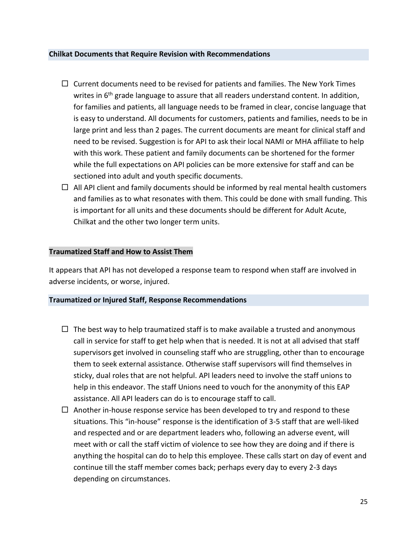#### **Chilkat Documents that Require Revision with Recommendations**

- $\Box$  Current documents need to be revised for patients and families. The New York Times writes in  $6<sup>th</sup>$  grade language to assure that all readers understand content. In addition, for families and patients, all language needs to be framed in clear, concise language that is easy to understand. All documents for customers, patients and families, needs to be in large print and less than 2 pages. The current documents are meant for clinical staff and need to be revised. Suggestion is for API to ask their local NAMI or MHA affiliate to help with this work. These patient and family documents can be shortened for the former while the full expectations on API policies can be more extensive for staff and can be sectioned into adult and youth specific documents.
- $\Box$  All API client and family documents should be informed by real mental health customers and families as to what resonates with them. This could be done with small funding. This is important for all units and these documents should be different for Adult Acute, Chilkat and the other two longer term units.

# **Traumatized Staff and How to Assist Them**

It appears that API has not developed a response team to respond when staff are involved in adverse incidents, or worse, injured.

#### **Traumatized or Injured Staff, Response Recommendations**

- $\Box$  The best way to help traumatized staff is to make available a trusted and anonymous call in service for staff to get help when that is needed. It is not at all advised that staff supervisors get involved in counseling staff who are struggling, other than to encourage them to seek external assistance. Otherwise staff supervisors will find themselves in sticky, dual roles that are not helpful. API leaders need to involve the staff unions to help in this endeavor. The staff Unions need to vouch for the anonymity of this EAP assistance. All API leaders can do is to encourage staff to call.
- $\Box$  Another in-house response service has been developed to try and respond to these situations. This "in-house" response is the identification of 3-5 staff that are well-liked and respected and or are department leaders who, following an adverse event, will meet with or call the staff victim of violence to see how they are doing and if there is anything the hospital can do to help this employee. These calls start on day of event and continue till the staff member comes back; perhaps every day to every 2-3 days depending on circumstances.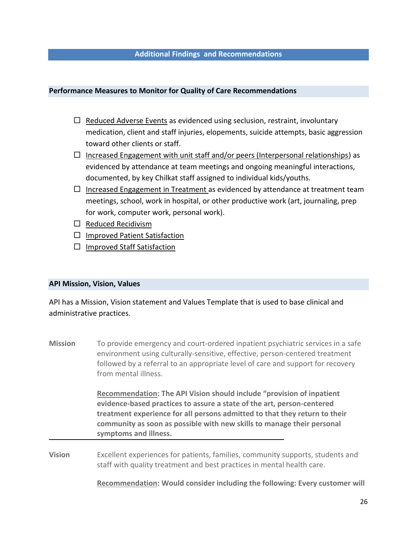#### **Additional Findings and Recommendations**

#### **Performance Measures to Monitor for Quality of Care Recommendations**

- $\Box$  Reduced Adverse Events as evidenced using seclusion, restraint, involuntary medication, client and staff injuries, elopements, suicide attempts, basic aggression toward other clients or staff.
- $\Box$  Increased Engagement with unit staff and/or peers (Interpersonal relationships) as evidenced by attendance at team meetings and ongoing meaningful interactions, documented, by key Chilkat staff assigned to individual kids/youths.
- $\Box$  Increased Engagement in Treatment as evidenced by attendance at treatment team meetings, school, work in hospital, or other productive work (art, journaling, prep for work, computer work, personal work).
- $\square$  Reduced Recidivism
- $\Box$  Improved Patient Satisfaction
- $\Box$  Improved Staff Satisfaction

#### **API Mission, Vision, Values**

API has a Mission, Vision statement and Values Template that is used to base clinical and administrative practices.

**Mission** To provide emergency and court-ordered inpatient psychiatric services in a safe environment using culturally-sensitive, effective, person-centered treatment followed by a referral to an appropriate level of care and support for recovery from mental illness.

> **Recommendation: The API Vision should include "provision of inpatient evidence-based practices to assure a state of the art, person-centered treatment experience for all persons admitted to that they return to their community as soon as possible with new skills to manage their personal symptoms and illness.**

**Vision** Excellent experiences for patients, families, community supports, students and staff with quality treatment and best practices in mental health care.

**Recommendation: Would consider including the following: Every customer will**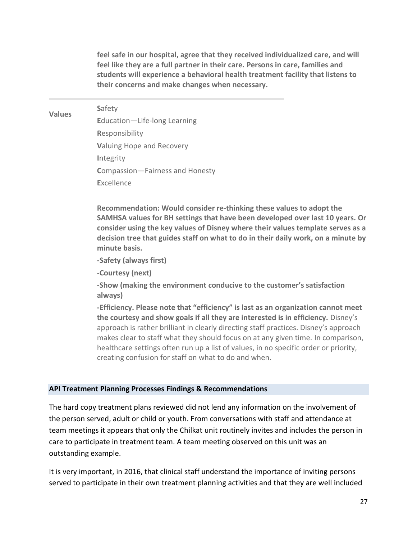**feel safe in our hospital, agree that they received individualized care, and will feel like they are a full partner in their care. Persons in care, families and students will experience a behavioral health treatment facility that listens to their concerns and make changes when necessary.** 

 **S**afety **E**ducation—Life-long Learning **R**esponsibility **V**aluing Hope and Recovery **I**ntegrity **C**ompassion—Fairness and Honesty **E**xcellence

**Recommendation: Would consider re-thinking these values to adopt the SAMHSA values for BH settings that have been developed over last 10 years. Or consider using the key values of Disney where their values template serves as a decision tree that guides staff on what to do in their daily work, on a minute by minute basis.** 

**-Safety (always first)**

**-Courtesy (next)**

**Values**

**-Show (making the environment conducive to the customer's satisfaction always)**

**-Efficiency. Please note that "efficiency" is last as an organization cannot meet the courtesy and show goals if all they are interested is in efficiency.** Disney's approach is rather brilliant in clearly directing staff practices. Disney's approach makes clear to staff what they should focus on at any given time. In comparison, healthcare settings often run up a list of values, in no specific order or priority, creating confusion for staff on what to do and when.

#### **API Treatment Planning Processes Findings & Recommendations**

The hard copy treatment plans reviewed did not lend any information on the involvement of the person served, adult or child or youth. From conversations with staff and attendance at team meetings it appears that only the Chilkat unit routinely invites and includes the person in care to participate in treatment team. A team meeting observed on this unit was an outstanding example.

It is very important, in 2016, that clinical staff understand the importance of inviting persons served to participate in their own treatment planning activities and that they are well included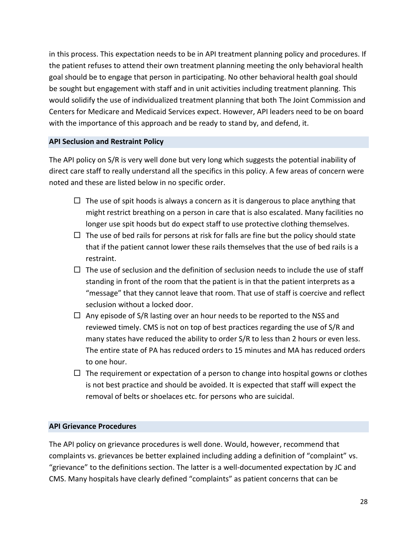in this process. This expectation needs to be in API treatment planning policy and procedures. If the patient refuses to attend their own treatment planning meeting the only behavioral health goal should be to engage that person in participating. No other behavioral health goal should be sought but engagement with staff and in unit activities including treatment planning. This would solidify the use of individualized treatment planning that both The Joint Commission and Centers for Medicare and Medicaid Services expect. However, API leaders need to be on board with the importance of this approach and be ready to stand by, and defend, it.

#### **API Seclusion and Restraint Policy**

The API policy on S/R is very well done but very long which suggests the potential inability of direct care staff to really understand all the specifics in this policy. A few areas of concern were noted and these are listed below in no specific order.

- $\Box$  The use of spit hoods is always a concern as it is dangerous to place anything that might restrict breathing on a person in care that is also escalated. Many facilities no longer use spit hoods but do expect staff to use protective clothing themselves.
- $\Box$  The use of bed rails for persons at risk for falls are fine but the policy should state that if the patient cannot lower these rails themselves that the use of bed rails is a restraint.
- $\Box$  The use of seclusion and the definition of seclusion needs to include the use of staff standing in front of the room that the patient is in that the patient interprets as a "message" that they cannot leave that room. That use of staff is coercive and reflect seclusion without a locked door.
- $\Box$  Any episode of S/R lasting over an hour needs to be reported to the NSS and reviewed timely. CMS is not on top of best practices regarding the use of S/R and many states have reduced the ability to order S/R to less than 2 hours or even less. The entire state of PA has reduced orders to 15 minutes and MA has reduced orders to one hour.
- $\Box$  The requirement or expectation of a person to change into hospital gowns or clothes is not best practice and should be avoided. It is expected that staff will expect the removal of belts or shoelaces etc. for persons who are suicidal.

#### **API Grievance Procedures**

The API policy on grievance procedures is well done. Would, however, recommend that complaints vs. grievances be better explained including adding a definition of "complaint" vs. "grievance" to the definitions section. The latter is a well-documented expectation by JC and CMS. Many hospitals have clearly defined "complaints" as patient concerns that can be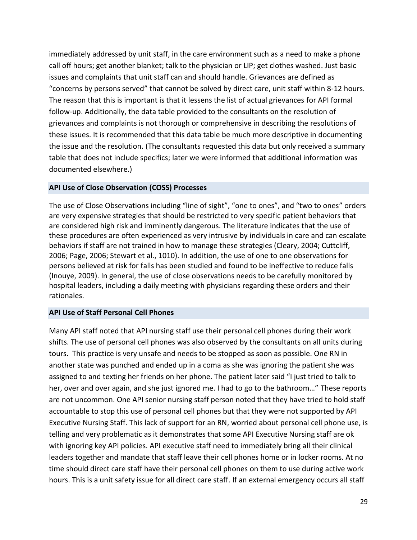immediately addressed by unit staff, in the care environment such as a need to make a phone call off hours; get another blanket; talk to the physician or LIP; get clothes washed. Just basic issues and complaints that unit staff can and should handle. Grievances are defined as "concerns by persons served" that cannot be solved by direct care, unit staff within 8-12 hours. The reason that this is important is that it lessens the list of actual grievances for API formal follow-up. Additionally, the data table provided to the consultants on the resolution of grievances and complaints is not thorough or comprehensive in describing the resolutions of these issues. It is recommended that this data table be much more descriptive in documenting the issue and the resolution. (The consultants requested this data but only received a summary table that does not include specifics; later we were informed that additional information was documented elsewhere.)

#### **API Use of Close Observation (COSS) Processes**

The use of Close Observations including "line of sight", "one to ones", and "two to ones" orders are very expensive strategies that should be restricted to very specific patient behaviors that are considered high risk and imminently dangerous. The literature indicates that the use of these procedures are often experienced as very intrusive by individuals in care and can escalate behaviors if staff are not trained in how to manage these strategies (Cleary, 2004; Cuttcliff, 2006; Page, 2006; Stewart et al., 1010). In addition, the use of one to one observations for persons believed at risk for falls has been studied and found to be ineffective to reduce falls (Inouye, 2009). In general, the use of close observations needs to be carefully monitored by hospital leaders, including a daily meeting with physicians regarding these orders and their rationales.

#### **API Use of Staff Personal Cell Phones**

Many API staff noted that API nursing staff use their personal cell phones during their work shifts. The use of personal cell phones was also observed by the consultants on all units during tours. This practice is very unsafe and needs to be stopped as soon as possible. One RN in another state was punched and ended up in a coma as she was ignoring the patient she was assigned to and texting her friends on her phone. The patient later said "I just tried to talk to her, over and over again, and she just ignored me. I had to go to the bathroom…" These reports are not uncommon. One API senior nursing staff person noted that they have tried to hold staff accountable to stop this use of personal cell phones but that they were not supported by API Executive Nursing Staff. This lack of support for an RN, worried about personal cell phone use, is telling and very problematic as it demonstrates that some API Executive Nursing staff are ok with ignoring key API policies. API executive staff need to immediately bring all their clinical leaders together and mandate that staff leave their cell phones home or in locker rooms. At no time should direct care staff have their personal cell phones on them to use during active work hours. This is a unit safety issue for all direct care staff. If an external emergency occurs all staff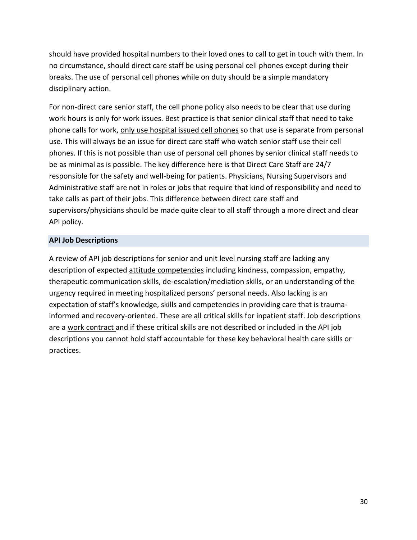should have provided hospital numbers to their loved ones to call to get in touch with them. In no circumstance, should direct care staff be using personal cell phones except during their breaks. The use of personal cell phones while on duty should be a simple mandatory disciplinary action.

For non-direct care senior staff, the cell phone policy also needs to be clear that use during work hours is only for work issues. Best practice is that senior clinical staff that need to take phone calls for work, only use hospital issued cell phones so that use is separate from personal use. This will always be an issue for direct care staff who watch senior staff use their cell phones. If this is not possible than use of personal cell phones by senior clinical staff needs to be as minimal as is possible. The key difference here is that Direct Care Staff are 24/7 responsible for the safety and well-being for patients. Physicians, Nursing Supervisors and Administrative staff are not in roles or jobs that require that kind of responsibility and need to take calls as part of their jobs. This difference between direct care staff and supervisors/physicians should be made quite clear to all staff through a more direct and clear API policy.

# **API Job Descriptions**

A review of API job descriptions for senior and unit level nursing staff are lacking any description of expected attitude competencies including kindness, compassion, empathy, therapeutic communication skills, de-escalation/mediation skills, or an understanding of the urgency required in meeting hospitalized persons' personal needs. Also lacking is an expectation of staff's knowledge, skills and competencies in providing care that is traumainformed and recovery-oriented. These are all critical skills for inpatient staff. Job descriptions are a work contract and if these critical skills are not described or included in the API job descriptions you cannot hold staff accountable for these key behavioral health care skills or practices.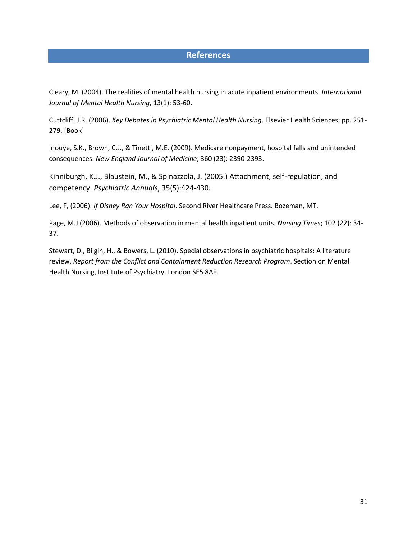# **References**

Cleary, M. (2004). The realities of mental health nursing in acute inpatient environments. *International Journal of Mental Health Nursing*, 13(1): 53-60.

Cuttcliff, J.R. (2006). *Key Debates in Psychiatric Mental Health Nursing*. Elsevier Health Sciences; pp. 251- 279. [Book]

Inouye, S.K., Brown, C.J., & Tinetti, M.E. (2009). Medicare nonpayment, hospital falls and unintended consequences. *New England Journal of Medicine*; 360 (23): 2390-2393.

Kinniburgh, K.J., Blaustein, M., & Spinazzola, J. (2005.) Attachment, self-regulation, and competency. *Psychiatric Annuals*, 35(5):424-430.

Lee, F, (2006). *If Disney Ran Your Hospital*. Second River Healthcare Press. Bozeman, MT.

Page, M.J (2006). Methods of observation in mental health inpatient units. *Nursing Times*; 102 (22): 34- 37.

Stewart, D., Bilgin, H., & Bowers, L. (2010). Special observations in psychiatric hospitals: A literature review. *Report from the Conflict and Containment Reduction Research Program*. Section on Mental Health Nursing, Institute of Psychiatry. London SE5 8AF.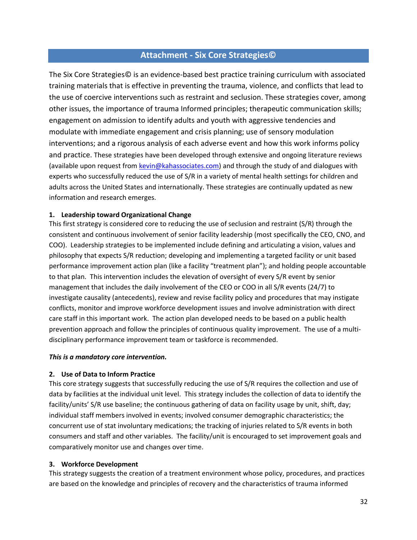# **Attachment - Six Core Strategies©**

The Six Core Strategies© is an evidence-based best practice training curriculum with associated training materials that is effective in preventing the trauma, violence, and conflicts that lead to the use of coercive interventions such as restraint and seclusion. These strategies cover, among other issues, the importance of trauma Informed principles; therapeutic communication skills; engagement on admission to identify adults and youth with aggressive tendencies and modulate with immediate engagement and crisis planning; use of sensory modulation interventions; and a rigorous analysis of each adverse event and how this work informs policy and practice. These strategies have been developed through extensive and ongoing literature reviews (available upon request from [kevin@kahassociates.com\)](mailto:kevin@kahassociates.com) and through the study of and dialogues with experts who successfully reduced the use of S/R in a variety of mental health settings for children and adults across the United States and internationally. These strategies are continually updated as new information and research emerges.

#### **1. Leadership toward Organizational Change**

This first strategy is considered core to reducing the use of seclusion and restraint (S/R) through the consistent and continuous involvement of senior facility leadership (most specifically the CEO, CNO, and COO). Leadership strategies to be implemented include defining and articulating a vision, values and philosophy that expects S/R reduction; developing and implementing a targeted facility or unit based performance improvement action plan (like a facility "treatment plan"); and holding people accountable to that plan. This intervention includes the elevation of oversight of every S/R event by senior management that includes the daily involvement of the CEO or COO in all S/R events (24/7) to investigate causality (antecedents), review and revise facility policy and procedures that may instigate conflicts, monitor and improve workforce development issues and involve administration with direct care staff in this important work. The action plan developed needs to be based on a public health prevention approach and follow the principles of continuous quality improvement. The use of a multidisciplinary performance improvement team or taskforce is recommended.

#### *This is a mandatory core intervention.*

#### **2. Use of Data to Inform Practice**

This core strategy suggests that successfully reducing the use of S/R requires the collection and use of data by facilities at the individual unit level. This strategy includes the collection of data to identify the facility/units' S/R use baseline; the continuous gathering of data on facility usage by unit, shift, day; individual staff members involved in events; involved consumer demographic characteristics; the concurrent use of stat involuntary medications; the tracking of injuries related to S/R events in both consumers and staff and other variables. The facility/unit is encouraged to set improvement goals and comparatively monitor use and changes over time.

#### **3. Workforce Development**

This strategy suggests the creation of a treatment environment whose policy, procedures, and practices are based on the knowledge and principles of recovery and the characteristics of trauma informed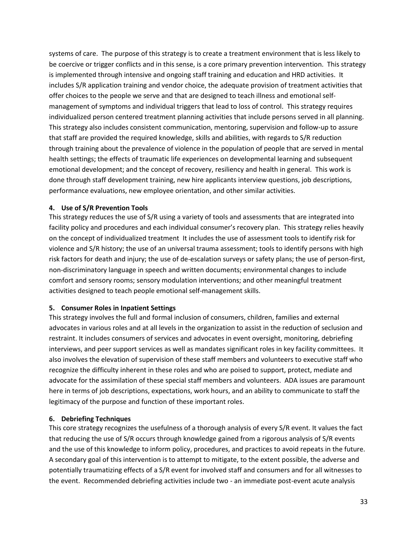systems of care. The purpose of this strategy is to create a treatment environment that is less likely to be coercive or trigger conflicts and in this sense, is a core primary prevention intervention. This strategy is implemented through intensive and ongoing staff training and education and HRD activities. It includes S/R application training and vendor choice, the adequate provision of treatment activities that offer choices to the people we serve and that are designed to teach illness and emotional selfmanagement of symptoms and individual triggers that lead to loss of control. This strategy requires individualized person centered treatment planning activities that include persons served in all planning. This strategy also includes consistent communication, mentoring, supervision and follow-up to assure that staff are provided the required knowledge, skills and abilities, with regards to S/R reduction through training about the prevalence of violence in the population of people that are served in mental health settings; the effects of traumatic life experiences on developmental learning and subsequent emotional development; and the concept of recovery, resiliency and health in general. This work is done through staff development training, new hire applicants interview questions, job descriptions, performance evaluations, new employee orientation, and other similar activities.

#### **4. Use of S/R Prevention Tools**

This strategy reduces the use of S/R using a variety of tools and assessments that are integrated into facility policy and procedures and each individual consumer's recovery plan. This strategy relies heavily on the concept of individualized treatment It includes the use of assessment tools to identify risk for violence and S/R history; the use of an universal trauma assessment; tools to identify persons with high risk factors for death and injury; the use of de-escalation surveys or safety plans; the use of person-first, non-discriminatory language in speech and written documents; environmental changes to include comfort and sensory rooms; sensory modulation interventions; and other meaningful treatment activities designed to teach people emotional self-management skills.

#### **5. Consumer Roles in Inpatient Settings**

This strategy involves the full and formal inclusion of consumers, children, families and external advocates in various roles and at all levels in the organization to assist in the reduction of seclusion and restraint. It includes consumers of services and advocates in event oversight, monitoring, debriefing interviews, and peer support services as well as mandates significant roles in key facility committees. It also involves the elevation of supervision of these staff members and volunteers to executive staff who recognize the difficulty inherent in these roles and who are poised to support, protect, mediate and advocate for the assimilation of these special staff members and volunteers. ADA issues are paramount here in terms of job descriptions, expectations, work hours, and an ability to communicate to staff the legitimacy of the purpose and function of these important roles.

#### **6. Debriefing Techniques**

This core strategy recognizes the usefulness of a thorough analysis of every S/R event. It values the fact that reducing the use of S/R occurs through knowledge gained from a rigorous analysis of S/R events and the use of this knowledge to inform policy, procedures, and practices to avoid repeats in the future. A secondary goal of this intervention is to attempt to mitigate, to the extent possible, the adverse and potentially traumatizing effects of a S/R event for involved staff and consumers and for all witnesses to the event. Recommended debriefing activities include two - an immediate post-event acute analysis